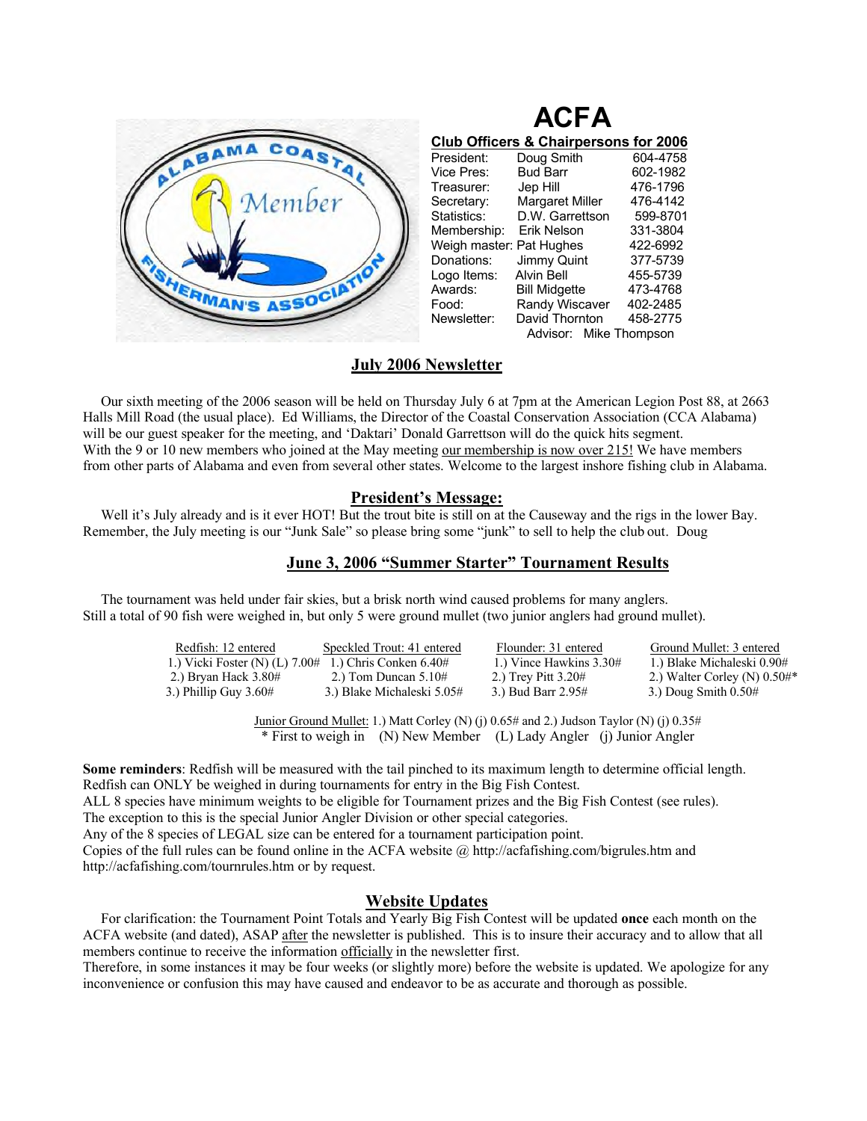

| <b>Club Officers &amp; Chairpersons for 2006</b> |                        |          |  |  |  |  |
|--------------------------------------------------|------------------------|----------|--|--|--|--|
| President:                                       | Doug Smith             | 604-4758 |  |  |  |  |
| Vice Pres:                                       | <b>Bud Barr</b>        | 602-1982 |  |  |  |  |
| Treasurer:                                       | Jep Hill               | 476-1796 |  |  |  |  |
| Secretary:                                       | Margaret Miller        | 476-4142 |  |  |  |  |
| Statistics:                                      | D.W. Garrettson        | 599-8701 |  |  |  |  |
| Membership:                                      | Erik Nelson            | 331-3804 |  |  |  |  |
| Weigh master: Pat Hughes                         |                        | 422-6992 |  |  |  |  |
| Donations:                                       | Jimmy Quint            | 377-5739 |  |  |  |  |
| Logo Items:                                      | <b>Alvin Bell</b>      | 455-5739 |  |  |  |  |
| Awards:                                          | <b>Bill Midgette</b>   | 473-4768 |  |  |  |  |
| Food:                                            | Randy Wiscaver         | 402-2485 |  |  |  |  |
| Newsletter:                                      | David Thornton         | 458-2775 |  |  |  |  |
|                                                  | Advisor: Mike Thompson |          |  |  |  |  |

**ACFA** 

## **July 2006 Newsletter**

 Our sixth meeting of the 2006 season will be held on Thursday July 6 at 7pm at the American Legion Post 88, at 2663 Halls Mill Road (the usual place). Ed Williams, the Director of the Coastal Conservation Association (CCA Alabama) will be our guest speaker for the meeting, and 'Daktari' Donald Garrettson will do the quick hits segment. With the 9 or 10 new members who joined at the May meeting our membership is now over 215! We have members from other parts of Alabama and even from several other states. Welcome to the largest inshore fishing club in Alabama.

# **President's Message:**

Well it's July already and is it ever HOT! But the trout bite is still on at the Causeway and the rigs in the lower Bay. Remember, the July meeting is our "Junk Sale" so please bring some "junk" to sell to help the club out. Doug

### **June 3, 2006 "Summer Starter" Tournament Results**

 The tournament was held under fair skies, but a brisk north wind caused problems for many anglers. Still a total of 90 fish were weighed in, but only 5 were ground mullet (two junior anglers had ground mullet).

| Redfish: 12 entered              | Speckled Trout: 41 entered | Flounder: 31 entered    | Ground Mullet: 3 entered         |
|----------------------------------|----------------------------|-------------------------|----------------------------------|
| 1.) Vicki Foster (N) $(L)$ 7.00# | 1.) Chris Conken $6.40#$   | 1.) Vince Hawkins 3.30# | 1.) Blake Michaleski 0.90#       |
| 2.) Bryan Hack 3.80#             | 2.) Tom Duncan $5.10\#$    | 2.) Trey Pitt $3.20#$   | 2.) Walter Corley (N) $0.50\#$ * |
| 3.) Phillip Guy $3.60#$          | 3.) Blake Michaleski 5.05# | 3.) Bud Barr 2.95#      | 3.) Doug Smith $0.50#$           |
|                                  |                            |                         |                                  |

Junior Ground Mullet: 1.) Matt Corley (N) (j) 0.65# and 2.) Judson Taylor (N) (j) 0.35# \* First to weigh in (N) New Member (L) Lady Angler (j) Junior Angler

**Some reminders**: Redfish will be measured with the tail pinched to its maximum length to determine official length. Redfish can ONLY be weighed in during tournaments for entry in the Big Fish Contest. ALL 8 species have minimum weights to be eligible for Tournament prizes and the Big Fish Contest (see rules). The exception to this is the special Junior Angler Division or other special categories. Any of the 8 species of LEGAL size can be entered for a tournament participation point. Copies of the full rules can be found online in the ACFA website @ http://acfafishing.com/bigrules.htm and http://acfafishing.com/tournrules.htm or by request.

## **Website Updates**

 For clarification: the Tournament Point Totals and Yearly Big Fish Contest will be updated **once** each month on the ACFA website (and dated), ASAP after the newsletter is published. This is to insure their accuracy and to allow that all members continue to receive the information officially in the newsletter first.

Therefore, in some instances it may be four weeks (or slightly more) before the website is updated. We apologize for any inconvenience or confusion this may have caused and endeavor to be as accurate and thorough as possible.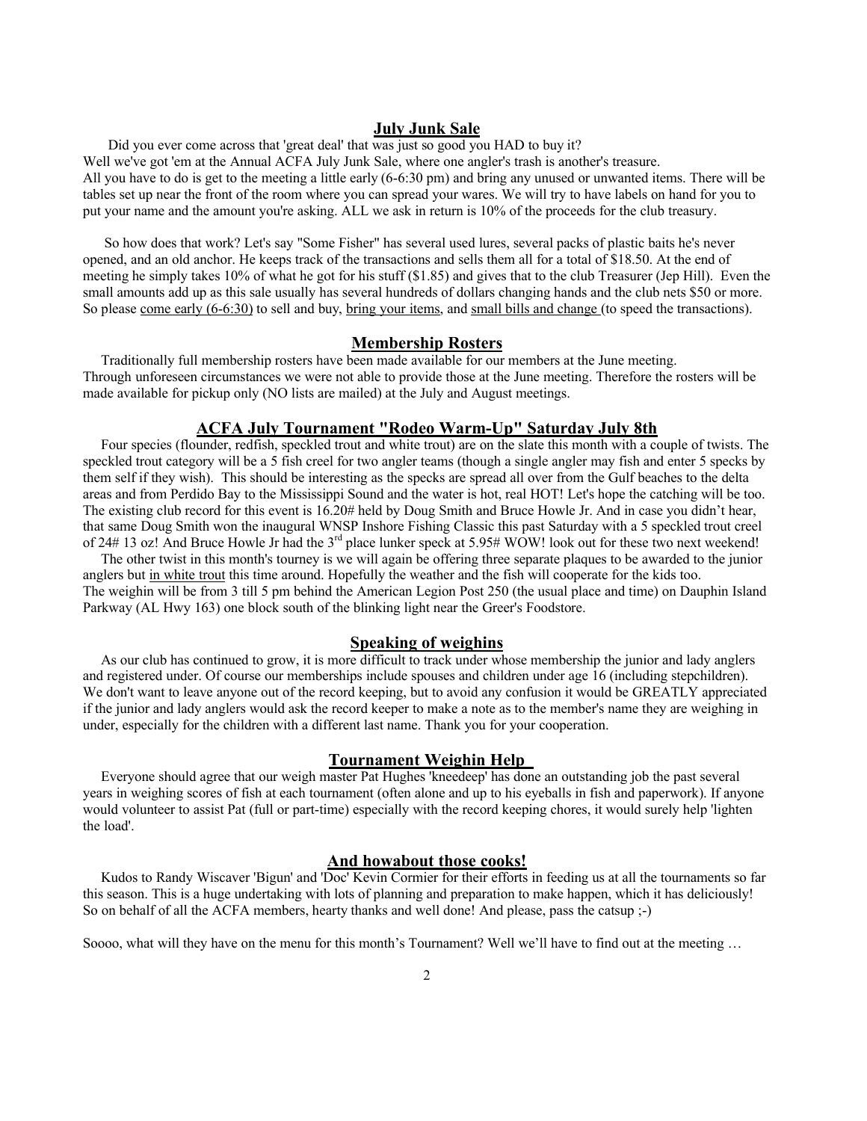#### **July Junk Sale**

Did you ever come across that 'great deal' that was just so good you HAD to buy it? Well we've got 'em at the Annual ACFA July Junk Sale, where one angler's trash is another's treasure. All you have to do is get to the meeting a little early (6-6:30 pm) and bring any unused or unwanted items. There will be tables set up near the front of the room where you can spread your wares. We will try to have labels on hand for you to put your name and the amount you're asking. ALL we ask in return is 10% of the proceeds for the club treasury.

 So how does that work? Let's say "Some Fisher" has several used lures, several packs of plastic baits he's never opened, and an old anchor. He keeps track of the transactions and sells them all for a total of \$18.50. At the end of meeting he simply takes 10% of what he got for his stuff (\$1.85) and gives that to the club Treasurer (Jep Hill). Even the small amounts add up as this sale usually has several hundreds of dollars changing hands and the club nets \$50 or more. So please <u>come early (6-6:30</u>) to sell and buy, <u>bring your items</u>, and small bills and change (to speed the transactions).

#### **Membership Rosters**

 Traditionally full membership rosters have been made available for our members at the June meeting. Through unforeseen circumstances we were not able to provide those at the June meeting. Therefore the rosters will be made available for pickup only (NO lists are mailed) at the July and August meetings.

#### **ACFA July Tournament "Rodeo Warm-Up" Saturday July 8th**

 Four species (flounder, redfish, speckled trout and white trout) are on the slate this month with a couple of twists. The speckled trout category will be a 5 fish creel for two angler teams (though a single angler may fish and enter 5 specks by them self if they wish). This should be interesting as the specks are spread all over from the Gulf beaches to the delta areas and from Perdido Bay to the Mississippi Sound and the water is hot, real HOT! Let's hope the catching will be too. The existing club record for this event is 16.20# held by Doug Smith and Bruce Howle Jr. And in case you didn't hear, that same Doug Smith won the inaugural WNSP Inshore Fishing Classic this past Saturday with a 5 speckled trout creel of 24# 13 oz! And Bruce Howle Jr had the  $3^{rd}$  place lunker speck at 5.95# WOW! look out for these two next weekend!

 The other twist in this month's tourney is we will again be offering three separate plaques to be awarded to the junior anglers but in white trout this time around. Hopefully the weather and the fish will cooperate for the kids too. The weighin will be from 3 till 5 pm behind the American Legion Post 250 (the usual place and time) on Dauphin Island Parkway (AL Hwy 163) one block south of the blinking light near the Greer's Foodstore.

#### **Speaking of weighins**

 As our club has continued to grow, it is more difficult to track under whose membership the junior and lady anglers and registered under. Of course our memberships include spouses and children under age 16 (including stepchildren). We don't want to leave anyone out of the record keeping, but to avoid any confusion it would be GREATLY appreciated if the junior and lady anglers would ask the record keeper to make a note as to the member's name they are weighing in under, especially for the children with a different last name. Thank you for your cooperation.

#### **Tournament Weighin Help**

 Everyone should agree that our weigh master Pat Hughes 'kneedeep' has done an outstanding job the past several years in weighing scores of fish at each tournament (often alone and up to his eyeballs in fish and paperwork). If anyone would volunteer to assist Pat (full or part-time) especially with the record keeping chores, it would surely help 'lighten the load'.

#### **And howabout those cooks!**

 Kudos to Randy Wiscaver 'Bigun' and 'Doc' Kevin Cormier for their efforts in feeding us at all the tournaments so far this season. This is a huge undertaking with lots of planning and preparation to make happen, which it has deliciously! So on behalf of all the ACFA members, hearty thanks and well done! And please, pass the catsup ;-)

Soooo, what will they have on the menu for this month's Tournament? Well we'll have to find out at the meeting ...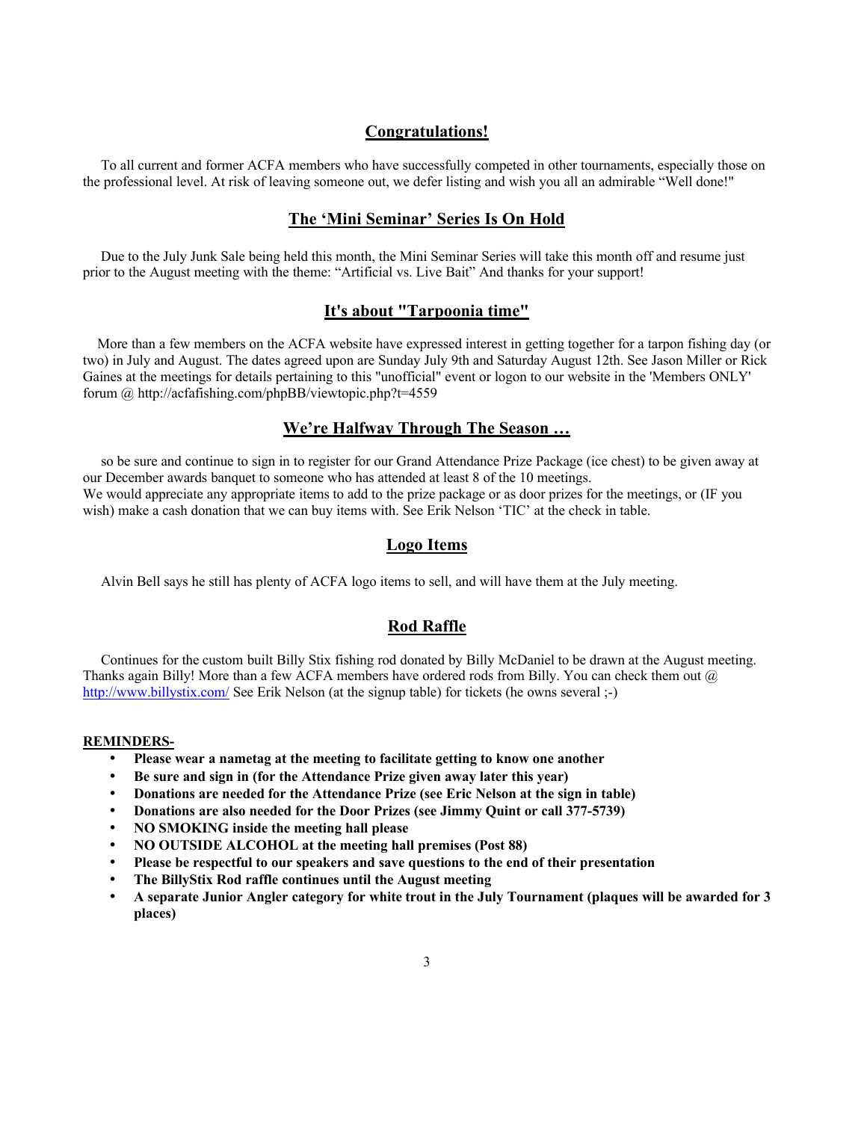### **Congratulations!**

 To all current and former ACFA members who have successfully competed in other tournaments, especially those on the professional level. At risk of leaving someone out, we defer listing and wish you all an admirable "Well done!"

#### **The 'Mini Seminar' Series Is On Hold**

 Due to the July Junk Sale being held this month, the Mini Seminar Series will take this month off and resume just prior to the August meeting with the theme: "Artificial vs. Live Bait" And thanks for your support!

# **It's about "Tarpoonia time"**

 More than a few members on the ACFA website have expressed interest in getting together for a tarpon fishing day (or two) in July and August. The dates agreed upon are Sunday July 9th and Saturday August 12th. See Jason Miller or Rick Gaines at the meetings for details pertaining to this "unofficial" event or logon to our website in the 'Members ONLY' forum @ http://acfafishing.com/phpBB/viewtopic.php?t=4559

## **We're Halfway Through The Season …**

 so be sure and continue to sign in to register for our Grand Attendance Prize Package (ice chest) to be given away at our December awards banquet to someone who has attended at least 8 of the 10 meetings. We would appreciate any appropriate items to add to the prize package or as door prizes for the meetings, or (IF you

wish) make a cash donation that we can buy items with. See Erik Nelson 'TIC' at the check in table.

# **Logo Items**

Alvin Bell says he still has plenty of ACFA logo items to sell, and will have them at the July meeting.

# **Rod Raffle**

 Continues for the custom built Billy Stix fishing rod donated by Billy McDaniel to be drawn at the August meeting. Thanks again Billy! More than a few ACFA members have ordered rods from Billy. You can check them out  $\omega$ http://www.billystix.com/ See Erik Nelson (at the signup table) for tickets (he owns several ;-)

#### **REMINDERS-**

- **· Please wear a nametag at the meeting to facilitate getting to know one another**
- **· Be sure and sign in (for the Attendance Prize given away later this year)**
- **· Donations are needed for the Attendance Prize (see Eric Nelson at the sign in table)**
- **· Donations are also needed for the Door Prizes (see Jimmy Quint or call 377-5739)**
- **· NO SMOKING inside the meeting hall please**
- **· NO OUTSIDE ALCOHOL at the meeting hall premises (Post 88)**
- **· Please be respectful to our speakers and save questions to the end of their presentation**
- **· The BillyStix Rod raffle continues until the August meeting**
- **· A separate Junior Angler category for white trout in the July Tournament (plaques will be awarded for 3 places)**